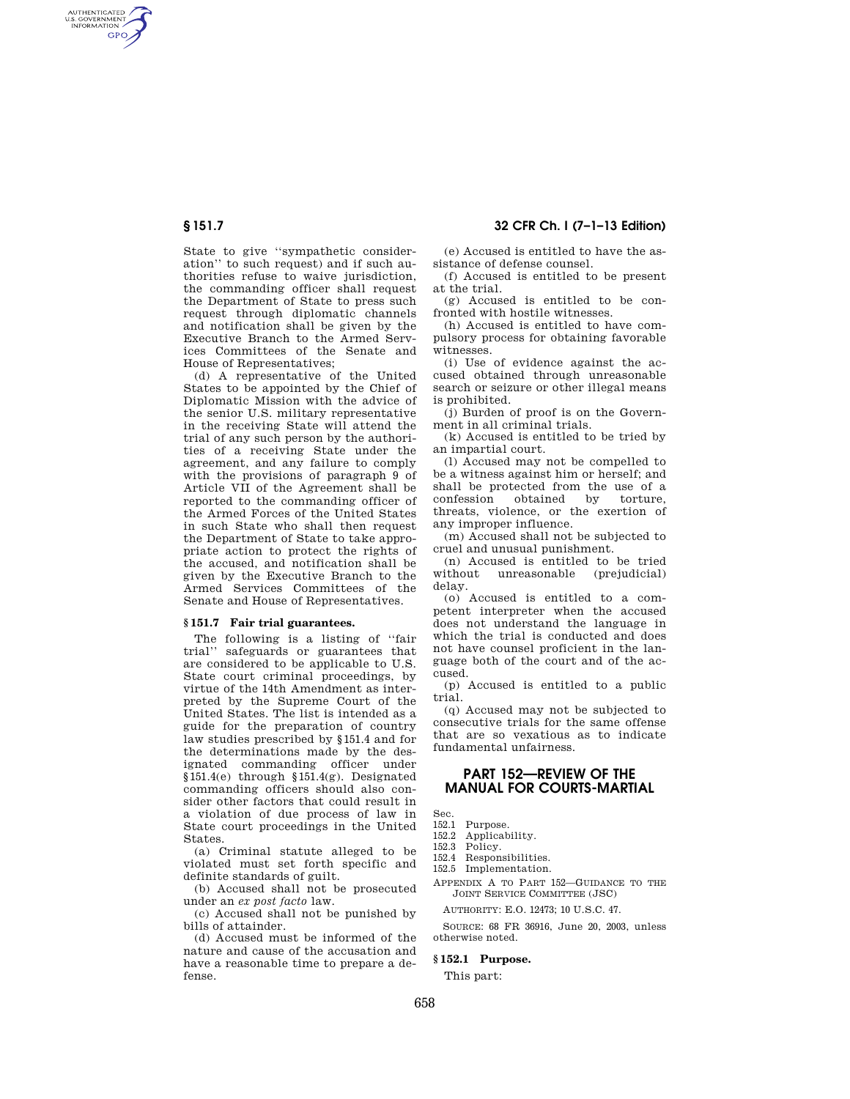AUTHENTICATED<br>U.S. GOVERNMENT<br>INFORMATION **GPO** 

> State to give ''sympathetic consideration'' to such request) and if such authorities refuse to waive jurisdiction, the commanding officer shall request the Department of State to press such request through diplomatic channels and notification shall be given by the Executive Branch to the Armed Services Committees of the Senate and House of Representatives;

> (d) A representative of the United States to be appointed by the Chief of Diplomatic Mission with the advice of the senior U.S. military representative in the receiving State will attend the trial of any such person by the authorities of a receiving State under the agreement, and any failure to comply with the provisions of paragraph 9 of Article VII of the Agreement shall be reported to the commanding officer of the Armed Forces of the United States in such State who shall then request the Department of State to take appropriate action to protect the rights of the accused, and notification shall be given by the Executive Branch to the Armed Services Committees of the Senate and House of Representatives.

#### **§ 151.7 Fair trial guarantees.**

The following is a listing of ''fair trial'' safeguards or guarantees that are considered to be applicable to U.S. State court criminal proceedings, by virtue of the 14th Amendment as interpreted by the Supreme Court of the United States. The list is intended as a guide for the preparation of country law studies prescribed by §151.4 and for the determinations made by the designated commanding officer under §151.4(e) through §151.4(g). Designated commanding officers should also consider other factors that could result in a violation of due process of law in State court proceedings in the United States.

(a) Criminal statute alleged to be violated must set forth specific and definite standards of guilt.

(b) Accused shall not be prosecuted under an *ex post facto* law.

(c) Accused shall not be punished by bills of attainder.

(d) Accused must be informed of the nature and cause of the accusation and have a reasonable time to prepare a defense.

# **§ 151.7 32 CFR Ch. I (7–1–13 Edition)**

(e) Accused is entitled to have the assistance of defense counsel.

(f) Accused is entitled to be present at the trial.

(g) Accused is entitled to be confronted with hostile witnesses.

(h) Accused is entitled to have compulsory process for obtaining favorable witnesses.

(i) Use of evidence against the accused obtained through unreasonable search or seizure or other illegal means is prohibited.

(j) Burden of proof is on the Government in all criminal trials.

(k) Accused is entitled to be tried by an impartial court.

(l) Accused may not be compelled to be a witness against him or herself; and shall be protected from the use of a<br>confession obtained by torture confession obtained by threats, violence, or the exertion of any improper influence.

(m) Accused shall not be subjected to cruel and unusual punishment.

(n) Accused is entitled to be tried without unreasonable (prejudicial) delay.

(o) Accused is entitled to a competent interpreter when the accused does not understand the language in which the trial is conducted and does not have counsel proficient in the language both of the court and of the accused.

(p) Accused is entitled to a public trial.

(q) Accused may not be subjected to consecutive trials for the same offense that are so vexatious as to indicate fundamental unfairness.

# **PART 152—REVIEW OF THE MANUAL FOR COURTS-MARTIAL**

Sec.

152.1 Purpose.<br>152.2 Applicab

152.2 Applicability.<br>152.3 Policy

Policy. 152.4 Responsibilities.

152.5 Implementation.

- 
- APPENDIX A TO PART 152—GUIDANCE TO THE JOINT SERVICE COMMITTEE (JSC)

AUTHORITY: E.O. 12473; 10 U.S.C. 47.

SOURCE: 68 FR 36916, June 20, 2003, unless otherwise noted.

## **§ 152.1 Purpose.**

This part: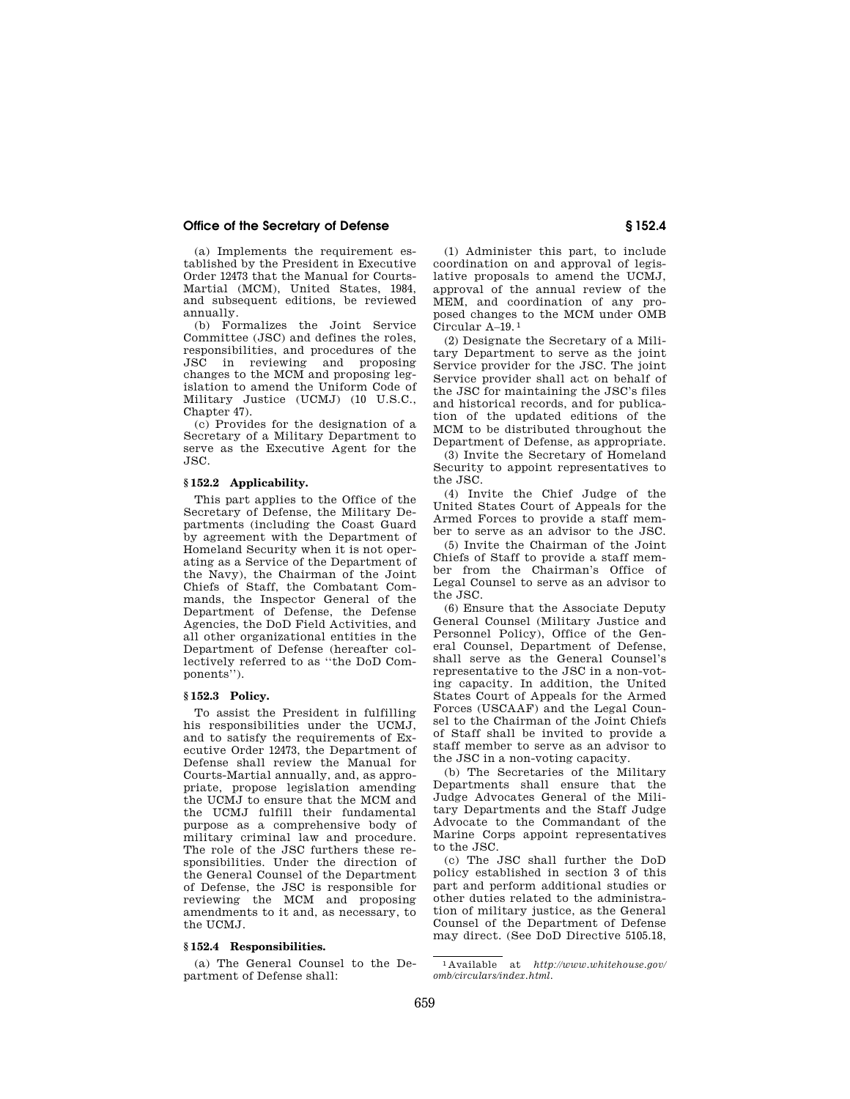## **Office of the Secretary of Defense § 152.4**

(a) Implements the requirement established by the President in Executive Order 12473 that the Manual for Courts-Martial (MCM), United States, 1984, and subsequent editions, be reviewed annually.

(b) Formalizes the Joint Service Committee (JSC) and defines the roles, responsibilities, and procedures of the JSC in reviewing and proposing changes to the MCM and proposing legislation to amend the Uniform Code of Military Justice (UCMJ) (10 U.S.C., Chapter 47).

(c) Provides for the designation of a Secretary of a Military Department to serve as the Executive Agent for the JSC.

### **§ 152.2 Applicability.**

This part applies to the Office of the Secretary of Defense, the Military Departments (including the Coast Guard by agreement with the Department of Homeland Security when it is not operating as a Service of the Department of the Navy), the Chairman of the Joint Chiefs of Staff, the Combatant Commands, the Inspector General of the Department of Defense, the Defense Agencies, the DoD Field Activities, and all other organizational entities in the Department of Defense (hereafter collectively referred to as ''the DoD Components'').

## **§ 152.3 Policy.**

To assist the President in fulfilling his responsibilities under the UCMJ, and to satisfy the requirements of Executive Order 12473, the Department of Defense shall review the Manual for Courts-Martial annually, and, as appropriate, propose legislation amending the UCMJ to ensure that the MCM and the UCMJ fulfill their fundamental purpose as a comprehensive body of military criminal law and procedure. The role of the JSC furthers these responsibilities. Under the direction of the General Counsel of the Department of Defense, the JSC is responsible for reviewing the MCM and proposing amendments to it and, as necessary, to the UCMJ.

#### **§ 152.4 Responsibilities.**

(a) The General Counsel to the Department of Defense shall:

(1) Administer this part, to include coordination on and approval of legislative proposals to amend the UCMJ, approval of the annual review of the MEM, and coordination of any proposed changes to the MCM under OMB Circular A–19. 1

(2) Designate the Secretary of a Military Department to serve as the joint Service provider for the JSC. The joint Service provider shall act on behalf of the JSC for maintaining the JSC's files and historical records, and for publication of the updated editions of the MCM to be distributed throughout the Department of Defense, as appropriate.

(3) Invite the Secretary of Homeland Security to appoint representatives to the JSC.

(4) Invite the Chief Judge of the United States Court of Appeals for the Armed Forces to provide a staff member to serve as an advisor to the JSC.

(5) Invite the Chairman of the Joint Chiefs of Staff to provide a staff member from the Chairman's Office of Legal Counsel to serve as an advisor to the JSC.

(6) Ensure that the Associate Deputy General Counsel (Military Justice and Personnel Policy), Office of the General Counsel, Department of Defense, shall serve as the General Counsel's representative to the JSC in a non-voting capacity. In addition, the United States Court of Appeals for the Armed Forces (USCAAF) and the Legal Counsel to the Chairman of the Joint Chiefs of Staff shall be invited to provide a staff member to serve as an advisor to the JSC in a non-voting capacity.

(b) The Secretaries of the Military Departments shall ensure that the Judge Advocates General of the Military Departments and the Staff Judge Advocate to the Commandant of the Marine Corps appoint representatives to the JSC.

(c) The JSC shall further the DoD policy established in section 3 of this part and perform additional studies or other duties related to the administration of military justice, as the General Counsel of the Department of Defense may direct. (See DoD Directive 5105.18,

<sup>1</sup> Available at *http://www.whitehouse.gov/ omb/circulars/index.html.*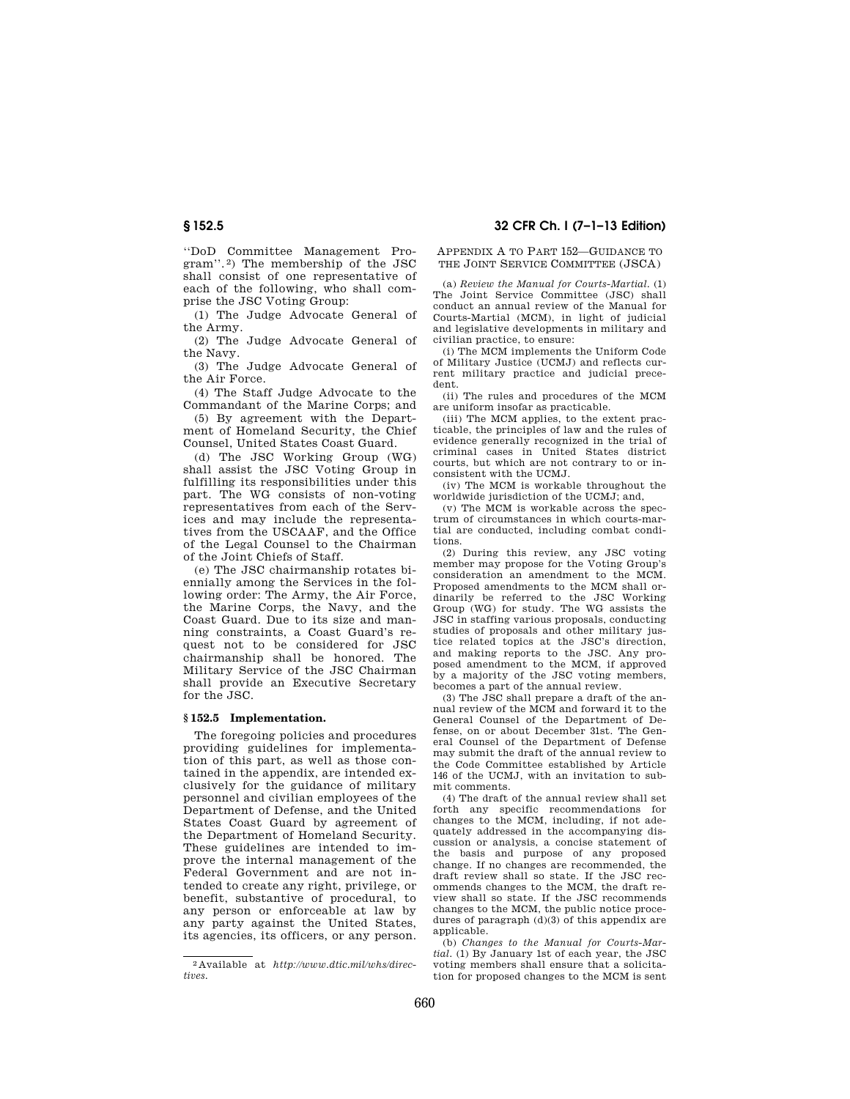''DoD Committee Management Program''. 2) The membership of the JSC shall consist of one representative of each of the following, who shall comprise the JSC Voting Group:

(1) The Judge Advocate General of the Army.

(2) The Judge Advocate General of the Navy.

(3) The Judge Advocate General of the Air Force.

(4) The Staff Judge Advocate to the Commandant of the Marine Corps; and

(5) By agreement with the Department of Homeland Security, the Chief Counsel, United States Coast Guard.

(d) The JSC Working Group (WG) shall assist the JSC Voting Group in fulfilling its responsibilities under this part. The WG consists of non-voting representatives from each of the Services and may include the representatives from the USCAAF, and the Office of the Legal Counsel to the Chairman of the Joint Chiefs of Staff.

(e) The JSC chairmanship rotates biennially among the Services in the following order: The Army, the Air Force, the Marine Corps, the Navy, and the Coast Guard. Due to its size and manning constraints, a Coast Guard's request not to be considered for JSC chairmanship shall be honored. The Military Service of the JSC Chairman shall provide an Executive Secretary for the JSC.

### **§ 152.5 Implementation.**

The foregoing policies and procedures providing guidelines for implementation of this part, as well as those contained in the appendix, are intended exclusively for the guidance of military personnel and civilian employees of the Department of Defense, and the United States Coast Guard by agreement of the Department of Homeland Security. These guidelines are intended to improve the internal management of the Federal Government and are not intended to create any right, privilege, or benefit, substantive of procedural, to any person or enforceable at law by any party against the United States, its agencies, its officers, or any person.

# **§ 152.5 32 CFR Ch. I (7–1–13 Edition)**

APPENDIX A TO PART 152—GUIDANCE TO THE JOINT SERVICE COMMITTEE (JSCA)

(a) *Review the Manual for Courts-Martial.* (1) The Joint Service Committee (JSC) shall conduct an annual review of the Manual for Courts-Martial (MCM), in light of judicial and legislative developments in military and civilian practice, to ensure:

(i) The MCM implements the Uniform Code of Military Justice (UCMJ) and reflects current military practice and judicial precedent.

(ii) The rules and procedures of the MCM are uniform insofar as practicable.

(iii) The MCM applies, to the extent practicable, the principles of law and the rules of evidence generally recognized in the trial of criminal cases in United States district courts, but which are not contrary to or inconsistent with the UCMJ.

(iv) The MCM is workable throughout the worldwide jurisdiction of the UCMJ; and,

(v) The MCM is workable across the spectrum of circumstances in which courts-martial are conducted, including combat conditions.

(2) During this review, any JSC voting member may propose for the Voting Group's consideration an amendment to the MCM. Proposed amendments to the MCM shall ordinarily be referred to the JSC Working Group (WG) for study. The WG assists the JSC in staffing various proposals, conducting studies of proposals and other military justice related topics at the JSC's direction, and making reports to the JSC. Any proposed amendment to the MCM, if approved by a majority of the JSC voting members, becomes a part of the annual review.

(3) The JSC shall prepare a draft of the annual review of the MCM and forward it to the General Counsel of the Department of Defense, on or about December 31st. The General Counsel of the Department of Defense may submit the draft of the annual review to the Code Committee established by Article 146 of the UCMJ, with an invitation to submit comments.

(4) The draft of the annual review shall set forth any specific recommendations for changes to the MCM, including, if not adequately addressed in the accompanying discussion or analysis, a concise statement of the basis and purpose of any proposed change. If no changes are recommended, the draft review shall so state. If the JSC recommends changes to the MCM, the draft review shall so state. If the JSC recommends changes to the MCM, the public notice procedures of paragraph (d)(3) of this appendix are applicable.

(b) *Changes to the Manual for Courts-Martial.* (1) By January 1st of each year, the JSC voting members shall ensure that a solicitation for proposed changes to the MCM is sent

<sup>2</sup> Available at *http://www.dtic.mil/whs/directives.*